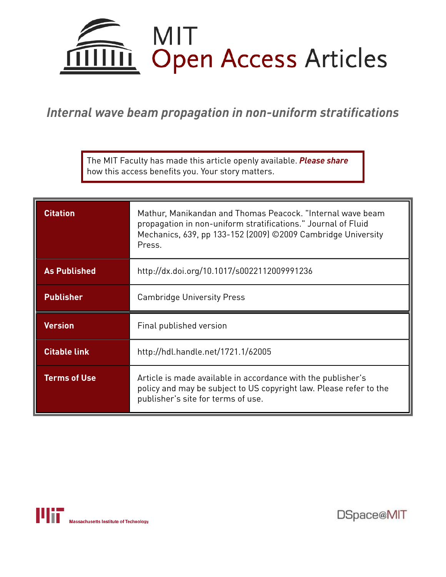

*Internal wave beam propagation in non-uniform stratifications*

The MIT Faculty has made this article openly available. *Please share*  how this access benefits you. Your story matters.

| <b>Citation</b>     | Mathur, Manikandan and Thomas Peacock. "Internal wave beam<br>propagation in non-uniform stratifications." Journal of Fluid<br>Mechanics, 639, pp 133-152 (2009) ©2009 Cambridge University<br>Press. |
|---------------------|-------------------------------------------------------------------------------------------------------------------------------------------------------------------------------------------------------|
| <b>As Published</b> | http://dx.doi.org/10.1017/s0022112009991236                                                                                                                                                           |
| <b>Publisher</b>    | <b>Cambridge University Press</b>                                                                                                                                                                     |
| <b>Version</b>      | Final published version                                                                                                                                                                               |
| <b>Citable link</b> | http://hdl.handle.net/1721.1/62005                                                                                                                                                                    |
| <b>Terms of Use</b> | Article is made available in accordance with the publisher's<br>policy and may be subject to US copyright law. Please refer to the<br>publisher's site for terms of use.                              |



DSpace@MIT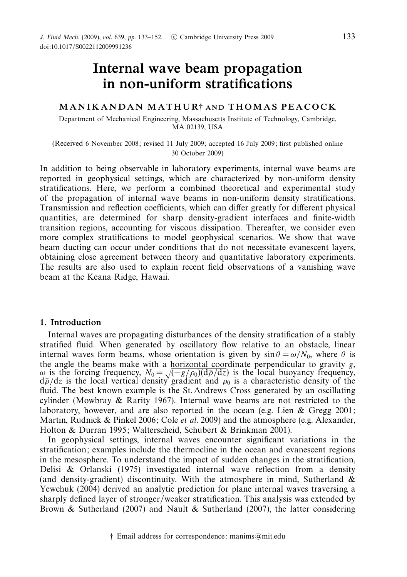# Internal wave beam propagation in non-uniform stratifications

## MANIKANDAN MATHUR† AND THOMAS PEACOCK

Department of Mechanical Engineering, Massachusetts Institute of Technology, Cambridge, MA 02139, USA

(Received 6 November 2008; revised 11 July 2009; accepted 16 July 2009; first published online 30 October 2009)

In addition to being observable in laboratory experiments, internal wave beams are reported in geophysical settings, which are characterized by non-uniform density stratifications. Here, we perform a combined theoretical and experimental study of the propagation of internal wave beams in non-uniform density stratifications. Transmission and reflection coefficients, which can differ greatly for different physical quantities, are determined for sharp density-gradient interfaces and finite-width transition regions, accounting for viscous dissipation. Thereafter, we consider even more complex stratifications to model geophysical scenarios. We show that wave beam ducting can occur under conditions that do not necessitate evanescent layers, obtaining close agreement between theory and quantitative laboratory experiments. The results are also used to explain recent field observations of a vanishing wave beam at the Keana Ridge, Hawaii.

## 1. Introduction

Internal waves are propagating disturbances of the density stratification of a stably stratified fluid. When generated by oscillatory flow relative to an obstacle, linear internal waves form beams, whose orientation is given by  $\sin \theta = \omega/N_0$ , where  $\theta$  is the angle the beams make with a horizontal coordinate perpendicular to gravity  $g$ , ω is the forcing frequency,  $N_0 = \sqrt{(-g/\rho_0)(d\bar{\rho}/dz)}$  is the local buoyancy frequency,  $d\bar{\rho}/dz$  is the local vertical density gradient and  $\rho_0$  is a characteristic density of the fluid. The best known example is the St. Andrews Cross generated by an oscillating cylinder (Mowbray & Rarity 1967). Internal wave beams are not restricted to the laboratory, however, and are also reported in the ocean (e.g. Lien  $\&$  Gregg 2001; Martin, Rudnick & Pinkel 2006; Cole *et al.* 2009) and the atmosphere (e.g. Alexander, Holton & Durran 1995; Walterscheid, Schubert & Brinkman 2001).

In geophysical settings, internal waves encounter significant variations in the stratification; examples include the thermocline in the ocean and evanescent regions in the mesosphere. To understand the impact of sudden changes in the stratification, Delisi & Orlanski (1975) investigated internal wave reflection from a density (and density-gradient) discontinuity. With the atmosphere in mind, Sutherland  $\&$ Yewchuk (2004) derived an analytic prediction for plane internal waves traversing a sharply defined layer of stronger/weaker stratification. This analysis was extended by Brown & Sutherland (2007) and Nault & Sutherland (2007), the latter considering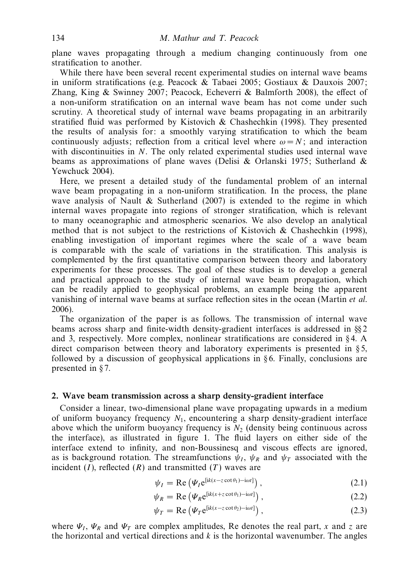plane waves propagating through a medium changing continuously from one stratification to another.

While there have been several recent experimental studies on internal wave beams in uniform stratifications (e.g. Peacock & Tabaei 2005; Gostiaux & Dauxois 2007; Zhang, King & Swinney 2007; Peacock, Echeverri & Balmforth 2008), the effect of a non-uniform stratification on an internal wave beam has not come under such scrutiny. A theoretical study of internal wave beams propagating in an arbitrarily stratified fluid was performed by Kistovich & Chashechkin (1998). They presented the results of analysis for: a smoothly varying stratification to which the beam continuously adjusts; reflection from a critical level where  $\omega = N$ ; and interaction with discontinuities in N. The only related experimental studies used internal wave beams as approximations of plane waves (Delisi & Orlanski 1975; Sutherland & Yewchuck 2004).

Here, we present a detailed study of the fundamental problem of an internal wave beam propagating in a non-uniform stratification. In the process, the plane wave analysis of Nault & Sutherland  $(2007)$  is extended to the regime in which internal waves propagate into regions of stronger stratification, which is relevant to many oceanographic and atmospheric scenarios. We also develop an analytical method that is not subject to the restrictions of Kistovich & Chashechkin (1998), enabling investigation of important regimes where the scale of a wave beam is comparable with the scale of variations in the stratification. This analysis is complemented by the first quantitative comparison between theory and laboratory experiments for these processes. The goal of these studies is to develop a general and practical approach to the study of internal wave beam propagation, which can be readily applied to geophysical problems, an example being the apparent vanishing of internal wave beams at surface reflection sites in the ocean (Martin et al. 2006).

The organization of the paper is as follows. The transmission of internal wave beams across sharp and finite-width density-gradient interfaces is addressed in §§ 2 and 3, respectively. More complex, nonlinear stratifications are considered in § 4. A direct comparison between theory and laboratory experiments is presented in  $\S$ 5, followed by a discussion of geophysical applications in  $\S 6$ . Finally, conclusions are presented in § 7.

## 2. Wave beam transmission across a sharp density-gradient interface

Consider a linear, two-dimensional plane wave propagating upwards in a medium of uniform buoyancy frequency  $N_1$ , encountering a sharp density-gradient interface above which the uniform buoyancy frequency is  $N<sub>2</sub>$  (density being continuous across the interface), as illustrated in figure 1. The fluid layers on either side of the interface extend to infinity, and non-Boussinesq and viscous effects are ignored, as is background rotation. The streamfunctions  $\psi_I$ ,  $\psi_R$  and  $\psi_T$  associated with the incident  $(I)$ , reflected  $(R)$  and transmitted  $(T)$  waves are

$$
\psi_I = \text{Re}\left(\Psi_I e^{[ik(x-z\cot\theta_1)-i\omega t]}\right),\tag{2.1}
$$

$$
\psi_R = \text{Re}\left(\Psi_R e^{[ik(x+z\cot\theta_1)-i\omega t]}\right),\tag{2.2}
$$

$$
\psi_T = \text{Re}\left(\Psi_T e^{[ik(x - z \cot \theta_2) - i\omega t]}\right),\tag{2.3}
$$

where  $\Psi_I$ ,  $\Psi_R$  and  $\Psi_T$  are complex amplitudes, Re denotes the real part, x and z are the horizontal and vertical directions and  $k$  is the horizontal wavenumber. The angles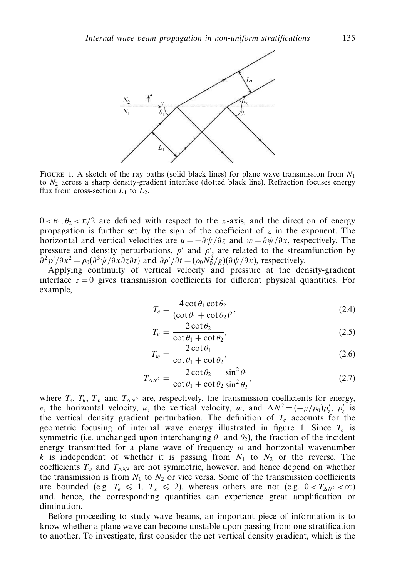

FIGURE 1. A sketch of the ray paths (solid black lines) for plane wave transmission from  $N_1$ to  $N_2$  across a sharp density-gradient interface (dotted black line). Refraction focuses energy flux from cross-section  $L_1$  to  $L_2$ .

 $0 < \theta_1, \theta_2 < \pi/2$  are defined with respect to the x-axis, and the direction of energy propagation is further set by the sign of the coefficient of  $z$  in the exponent. The horizontal and vertical velocities are  $u = -\frac{\partial \psi}{\partial z}$  and  $w = \frac{\partial \psi}{\partial x}$ , respectively. The pressure and density perturbations,  $p'$  and  $\rho'$ , are related to the streamfunction by  $\partial^2 p' / \partial x^2 = \rho_0 (\partial^3 \psi / \partial x \partial z \partial t)$  and  $\partial \rho' / \partial t = (\rho_0 N_0^2 / g)(\partial \psi / \partial x)$ , respectively.

Applying continuity of vertical velocity and pressure at the density-gradient interface  $z = 0$  gives transmission coefficients for different physical quantities. For example,

$$
T_e = \frac{4 \cot \theta_1 \cot \theta_2}{(\cot \theta_1 + \cot \theta_2)^2},
$$
\n(2.4)

$$
T_u = \frac{2 \cot \theta_2}{\cot \theta_1 + \cot \theta_2},\tag{2.5}
$$

$$
T_w = \frac{2 \cot \theta_1}{\cot \theta_1 + \cot \theta_2},\tag{2.6}
$$

$$
T_{\Delta N^2} = \frac{2 \cot \theta_2}{\cot \theta_1 + \cot \theta_2} \frac{\sin^2 \theta_1}{\sin^2 \theta_2},
$$
 (2.7)

where  $T_e$ ,  $T_u$ ,  $T_w$  and  $T_{\Delta N^2}$  are, respectively, the transmission coefficients for energy, e, the horizontal velocity, u, the vertical velocity, w, and  $\Delta N^2 = (-g/\rho_0)\rho'_z$ ,  $\rho'_z$  is the vertical density gradient perturbation. The definition of  $T_e$  accounts for the geometric focusing of internal wave energy illustrated in figure 1. Since  $T_e$  is symmetric (i.e. unchanged upon interchanging  $\theta_1$  and  $\theta_2$ ), the fraction of the incident energy transmitted for a plane wave of frequency  $\omega$  and horizontal wavenumber k is independent of whether it is passing from  $N_1$  to  $N_2$  or the reverse. The coefficients  $T_w$  and  $T_{\Lambda N^2}$  are not symmetric, however, and hence depend on whether the transmission is from  $N_1$  to  $N_2$  or vice versa. Some of the transmission coefficients are bounded (e.g.  $T_e \le 1$ ,  $T_w \le 2$ ), whereas others are not (e.g.  $0 < T_{\Delta N^2} < \infty$ ) and, hence, the corresponding quantities can experience great amplification or diminution.

Before proceeding to study wave beams, an important piece of information is to know whether a plane wave can become unstable upon passing from one stratification to another. To investigate, first consider the net vertical density gradient, which is the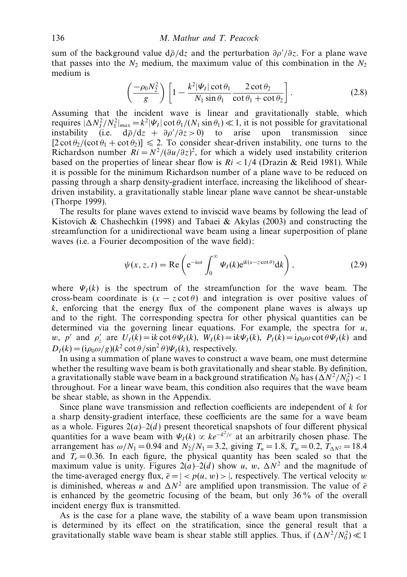sum of the background value  $d\bar{\rho}/dz$  and the perturbation  $\partial \rho'/\partial z$ . For a plane wave that passes into the  $N_2$  medium, the maximum value of this combination in the  $N_2$ medium is

$$
\left(\frac{-\rho_0 N_2^2}{g}\right) \left[1 - \frac{k^2 |\Psi_I| \cot \theta_1}{N_1 \sin \theta_1} \frac{2 \cot \theta_2}{\cot \theta_1 + \cot \theta_2}\right].
$$
\n(2.8)

Assuming that the incident wave is linear and gravitationally stable, which requires  $|\Delta N_I^2/N_I^2|_{max} = k^2 |\Psi_I| \cot \theta_1/(N_1 \sin \theta_1) \ll 1$ , it is not possible for gravitational instability (i.e.  $d\bar{\rho}/dz + \partial \rho'/\partial z > 0$ ) to arise upon transmission since  $[2 \cot \theta_2/(\cot \theta_1 + \cot \theta_2)] \le 2$ . To consider shear-driven instability, one turns to the Richardson number  $Ri = N^2/(\partial u/\partial z)^2$ , for which a widely used instability criterion based on the properties of linear shear flow is  $Ri < 1/4$  (Drazin & Reid 1981). While it is possible for the minimum Richardson number of a plane wave to be reduced on passing through a sharp density-gradient interface, increasing the likelihood of sheardriven instability, a gravitationally stable linear plane wave cannot be shear-unstable (Thorpe 1999).

The results for plane waves extend to inviscid wave beams by following the lead of Kistovich & Chashechkin (1998) and Tabaei & Akylas (2003) and constructing the streamfunction for a unidirectional wave beam using a linear superposition of plane waves (i.e. a Fourier decomposition of the wave field):

$$
\psi(x, z, t) = \text{Re}\left(e^{-i\omega t} \int_0^\infty \Psi_I(k)e^{ik(x-z\cot\theta)}dk\right),\tag{2.9}
$$

where  $\Psi_I(k)$  is the spectrum of the streamfunction for the wave beam. The cross-beam coordinate is  $(x - z \cot \theta)$  and integration is over positive values of k, enforcing that the energy flux of the component plane waves is always up and to the right. The corresponding spectra for other physical quantities can be determined via the governing linear equations. For example, the spectra for  $u$ , w, p' and  $\rho'_z$  are  $U_I(k) = ik \cot \theta \Psi_I(k)$ ,  $W_I(k) = ik \Psi_I(k)$ ,  $P_I(k) = i \rho_0 \omega \cot \theta \Psi_I(k)$  and  $D_I(k) = (i\rho_0 \omega/g)(k^2 \cot \theta/\sin^2 \theta)\Psi_I(k)$ , respectively.

In using a summation of plane waves to construct a wave beam, one must determine whether the resulting wave beam is both gravitationally and shear stable. By definition, a gravitationally stable wave beam in a background stratification  $N_0$  has  $(\Delta N^2/N_0^2)$  < 1 throughout. For a linear wave beam, this condition also requires that the wave beam be shear stable, as shown in the Appendix.

Since plane wave transmission and reflection coefficients are independent of k for a sharp density-gradient interface, these coefficients are the same for a wave beam as a whole. Figures  $2(a)-2(d)$  present theoretical snapshots of four different physical quantities for a wave beam with  $\Psi_I(k) \propto ke^{-k^2/c}$  at an arbitrarily chosen phase. The arrangement has  $\omega/N_1 = 0.94$  and  $N_2/N_1 = 3.2$ , giving  $T_u = 1.8$ ,  $T_w = 0.2$ ,  $T_{\Delta N^2} = 18.4$ and  $T_e = 0.36$ . In each figure, the physical quantity has been scaled so that the maximum value is unity. Figures  $2(a)-2(d)$  show u, w,  $\Delta N^2$  and the magnitude of the time-averaged energy flux,  $\bar{e} = |p(u, w)|$ , respectively. The vertical velocity w is diminished, whereas u and  $\Delta N^2$  are amplified upon transmission. The value of  $\bar{e}$ is enhanced by the geometric focusing of the beam, but only 36 % of the overall incident energy flux is transmitted.

As is the case for a plane wave, the stability of a wave beam upon transmission is determined by its effect on the stratification, since the general result that a gravitationally stable wave beam is shear stable still applies. Thus, if  $(\Delta N^2/N_0^2) \ll 1$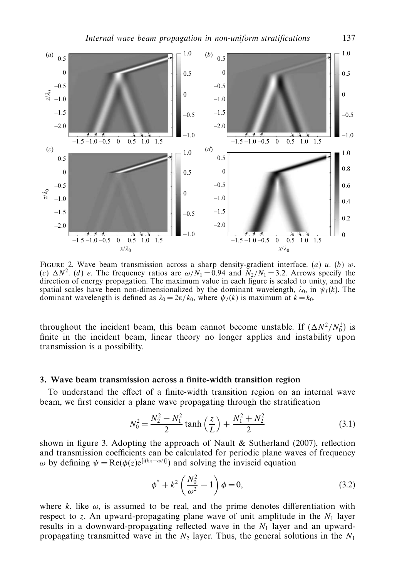

FIGURE 2. Wave beam transmission across a sharp density-gradient interface. (a) u. (b) w. (c)  $\Delta N^2$ . (d)  $\bar{e}$ . The frequency ratios are  $\omega/N_1 = 0.94$  and  $N_2/N_1 = 3.2$ . Arrows specify the direction of energy propagation. The maximum value in each figure is scaled to unity, and the spatial scales have been non-dimensionalized by the dominant wavelength,  $\lambda_0$ , in  $\psi_I(k)$ . The dominant wavelength is defined as  $\lambda_0 = 2\pi/k_0$ , where  $\psi_I(k)$  is maximum at  $k = k_0$ .

throughout the incident beam, this beam cannot become unstable. If  $(\Delta N^2/N_0^2)$  is finite in the incident beam, linear theory no longer applies and instability upon transmission is a possibility.

## 3. Wave beam transmission across a finite-width transition region

To understand the effect of a finite-width transition region on an internal wave beam, we first consider a plane wave propagating through the stratification

$$
N_0^2 = \frac{N_2^2 - N_1^2}{2} \tanh\left(\frac{z}{L}\right) + \frac{N_1^2 + N_2^2}{2}
$$
 (3.1)

shown in figure 3. Adopting the approach of Nault  $&$  Sutherland (2007), reflection and transmission coefficients can be calculated for periodic plane waves of frequency ω by defining  $\psi = \text{Re}(\phi(z)e^{[i(kx-\omega t)]})$  and solving the inviscid equation

$$
\phi'' + k^2 \left( \frac{N_0^2}{\omega^2} - 1 \right) \phi = 0, \tag{3.2}
$$

where k, like  $\omega$ , is assumed to be real, and the prime denotes differentiation with respect to z. An upward-propagating plane wave of unit amplitude in the  $N_1$  layer results in a downward-propagating reflected wave in the  $N_1$  layer and an upwardpropagating transmitted wave in the  $N_2$  layer. Thus, the general solutions in the  $N_1$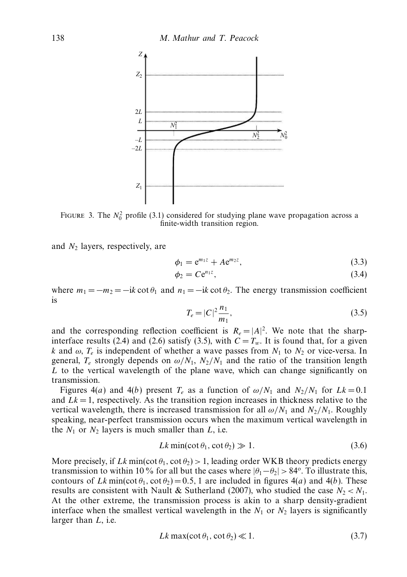

FIGURE 3. The  $N_0^2$  profile (3.1) considered for studying plane wave propagation across a finite-width transition region.

and  $N_2$  layers, respectively, are

$$
\phi_1 = e^{m_1 z} + A e^{m_2 z},\tag{3.3}
$$

$$
\phi_2 = C e^{n_1 z},\tag{3.4}
$$

where  $m_1 = -m_2 = -ik \cot \theta_1$  and  $n_1 = -ik \cot \theta_2$ . The energy transmission coefficient is

$$
T_e = |C|^2 \frac{n_1}{m_1},\tag{3.5}
$$

and the corresponding reflection coefficient is  $R_e = |A|^2$ . We note that the sharpinterface results (2.4) and (2.6) satisfy (3.5), with  $C = T_w$ . It is found that, for a given k and  $\omega$ ,  $T_e$  is independent of whether a wave passes from  $N_1$  to  $N_2$  or vice-versa. In general,  $T_e$  strongly depends on  $\omega/N_1$ ,  $N_2/N_1$  and the ratio of the transition length  $L$  to the vertical wavelength of the plane wave, which can change significantly on transmission.

Figures 4(a) and 4(b) present  $T_e$  as a function of  $\omega/N_1$  and  $N_2/N_1$  for  $Lk = 0.1$ and  $Lk = 1$ , respectively. As the transition region increases in thickness relative to the vertical wavelength, there is increased transmission for all  $\omega/N_1$  and  $N_2/N_1$ . Roughly speaking, near-perfect transmission occurs when the maximum vertical wavelength in the  $N_1$  or  $N_2$  layers is much smaller than  $L$ , i.e.

$$
Lk \min(\cot \theta_1, \cot \theta_2) \gg 1. \tag{3.6}
$$

More precisely, if Lk min(cot  $\theta_1$ , cot  $\theta_2$ ) > 1, leading order WKB theory predicts energy transmission to within 10 % for all but the cases where  $|\theta_1 - \theta_2| > 84^\circ$ . To illustrate this, contours of Lk min(cot  $\theta_1$ , cot  $\theta_2$ ) = 0.5, 1 are included in figures 4(*a*) and 4(*b*). These results are consistent with Nault & Sutherland (2007), who studied the case  $N_2 < N_1$ . At the other extreme, the transmission process is akin to a sharp density-gradient interface when the smallest vertical wavelength in the  $N_1$  or  $N_2$  layers is significantly larger than L, i.e.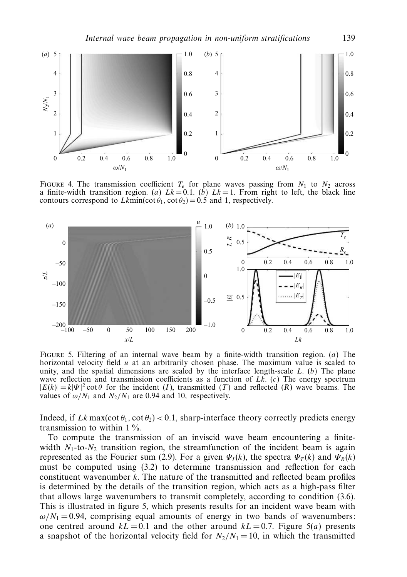

FIGURE 4. The transmission coefficient  $T_e$  for plane waves passing from  $N_1$  to  $N_2$  across a finite-width transition region. (a)  $Lk = 0.1$ . (b)  $Lk = 1$ . From right to left, the black line contours correspond to  $Lkmin(\cot \theta_1, \cot \theta_2)=0.5$  and 1, respectively.



FIGURE 5. Filtering of an internal wave beam by a finite-width transition region. (a) The horizontal velocity field  $u$  at an arbitrarily chosen phase. The maximum value is scaled to unity, and the spatial dimensions are scaled by the interface length-scale  $L$ . (b) The plane wave reflection and transmission coefficients as a function of  $Lk$ . (c) The energy spectrum  $|E(k)| = k |\Psi|^2 \cot \theta$  for the incident (I), transmitted (T) and reflected (R) wave beams. The values of  $\omega/N_1$  and  $N_2/N_1$  are 0.94 and 10, respectively.

Indeed, if Lk max(cot  $\theta_1$ , cot  $\theta_2$ ) < 0.1, sharp-interface theory correctly predicts energy transmission to within  $1\%$ .

To compute the transmission of an inviscid wave beam encountering a finitewidth  $N_1$ -to- $N_2$  transition region, the streamfunction of the incident beam is again represented as the Fourier sum (2.9). For a given  $\Psi_I(k)$ , the spectra  $\Psi_T(k)$  and  $\Psi_R(k)$ must be computed using (3.2) to determine transmission and reflection for each constituent wavenumber  $k$ . The nature of the transmitted and reflected beam profiles is determined by the details of the transition region, which acts as a high-pass filter that allows large wavenumbers to transmit completely, according to condition (3.6). This is illustrated in figure 5, which presents results for an incident wave beam with  $\omega/N_1 = 0.94$ , comprising equal amounts of energy in two bands of wavenumbers: one centred around  $k = 0.1$  and the other around  $k = 0.7$ . Figure 5(a) presents a snapshot of the horizontal velocity field for  $N_2/N_1 = 10$ , in which the transmitted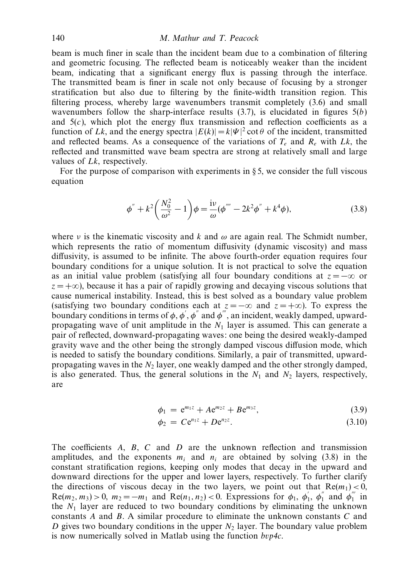beam is much finer in scale than the incident beam due to a combination of filtering and geometric focusing. The reflected beam is noticeably weaker than the incident beam, indicating that a significant energy flux is passing through the interface. The transmitted beam is finer in scale not only because of focusing by a stronger stratification but also due to filtering by the finite-width transition region. This filtering process, whereby large wavenumbers transmit completely (3.6) and small wavenumbers follow the sharp-interface results  $(3.7)$ , is elucidated in figures  $5(b)$ and  $5(c)$ , which plot the energy flux transmission and reflection coefficients as a function of Lk, and the energy spectra  $|E(k)| = k|\Psi|^2 \cot \theta$  of the incident, transmitted and reflected beams. As a consequence of the variations of  $T_e$  and  $R_e$  with Lk, the reflected and transmitted wave beam spectra are strong at relatively small and large values of Lk, respectively.

For the purpose of comparison with experiments in  $\S 5$ , we consider the full viscous equation

$$
\phi'' + k^2 \left( \frac{N_0^2}{\omega^2} - 1 \right) \phi = \frac{\mathrm{i} \nu}{\omega} (\phi''' - 2k^2 \phi'' + k^4 \phi), \tag{3.8}
$$

where v is the kinematic viscosity and k and  $\omega$  are again real. The Schmidt number, which represents the ratio of momentum diffusivity (dynamic viscosity) and mass diffusivity, is assumed to be infinite. The above fourth-order equation requires four boundary conditions for a unique solution. It is not practical to solve the equation as an initial value problem (satisfying all four boundary conditions at  $z = -\infty$  or  $z = +\infty$ ), because it has a pair of rapidly growing and decaying viscous solutions that cause numerical instability. Instead, this is best solved as a boundary value problem (satisfying two boundary conditions each at  $z = -\infty$  and  $z = +\infty$ ). To express the boundary conditions in terms of  $\phi$ ,  $\phi'$ ,  $\phi''$  and  $\phi'''$ , an incident, weakly damped, upwardpropagating wave of unit amplitude in the  $N_1$  layer is assumed. This can generate a pair of reflected, downward-propagating waves: one being the desired weakly-damped gravity wave and the other being the strongly damped viscous diffusion mode, which is needed to satisfy the boundary conditions. Similarly, a pair of transmitted, upwardpropagating waves in the  $N_2$  layer, one weakly damped and the other strongly damped, is also generated. Thus, the general solutions in the  $N_1$  and  $N_2$  layers, respectively, are

$$
\phi_1 = e^{m_1 z} + A e^{m_2 z} + B e^{m_3 z}, \tag{3.9}
$$

$$
\phi_2 = C e^{n_1 z} + D e^{n_2 z}.
$$
\n(3.10)

The coefficients  $A$ ,  $B$ ,  $C$  and  $D$  are the unknown reflection and transmission amplitudes, and the exponents  $m_i$  and  $n_i$  are obtained by solving (3.8) in the constant stratification regions, keeping only modes that decay in the upward and downward directions for the upper and lower layers, respectively. To further clarify the directions of viscous decay in the two layers, we point out that  $Re(m_1) < 0$ ,  $\text{Re}(m_2, m_3) > 0$ ,  $m_2 = -m_1$  and  $\text{Re}(n_1, n_2) < 0$ . Expressions for  $\phi_1$ ,  $\phi_1'$ ,  $\phi_1''$  and  $\phi_1'''$  in the  $N_1$  layer are reduced to two boundary conditions by eliminating the unknown constants A and B. A similar procedure to eliminate the unknown constants C and D gives two boundary conditions in the upper  $N<sub>2</sub>$  layer. The boundary value problem is now numerically solved in Matlab using the function  $bvp4c$ .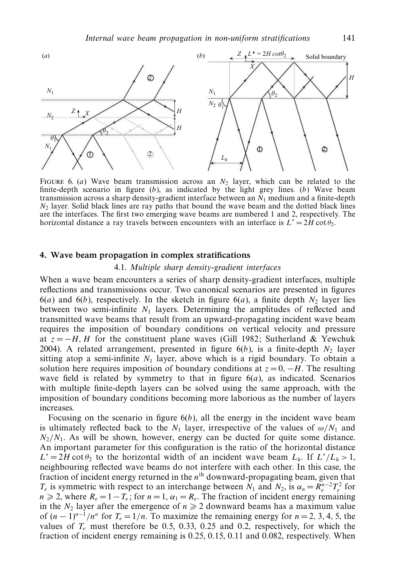

FIGURE 6. (a) Wave beam transmission across an  $N_2$  layer, which can be related to the finite-depth scenario in figure  $(b)$ , as indicated by the light grey lines.  $(b)$  Wave beam transmission across a sharp density-gradient interface between an  $N_1$  medium and a finite-depth  $N_2$  layer. Solid black lines are ray paths that bound the wave beam and the dotted black lines are the interfaces. The first two emerging wave beams are numbered 1 and 2, respectively. The horizontal distance a ray travels between encounters with an interface is  $L^* = 2H \cot \theta_2$ .

#### 4. Wave beam propagation in complex stratifications

## 4.1. Multiple sharp density-gradient interfaces

When a wave beam encounters a series of sharp density-gradient interfaces, multiple reflections and transmissions occur. Two canonical scenarios are presented in figures  $6(a)$  and  $6(b)$ , respectively. In the sketch in figure  $6(a)$ , a finite depth N<sub>2</sub> layer lies between two semi-infinite  $N_1$  layers. Determining the amplitudes of reflected and transmitted wave beams that result from an upward-propagating incident wave beam requires the imposition of boundary conditions on vertical velocity and pressure at  $z = -H$ , H for the constituent plane waves (Gill 1982; Sutherland & Yewchuk 2004). A related arrangement, presented in figure  $6(b)$ , is a finite-depth  $N_2$  layer sitting atop a semi-infinite  $N_1$  layer, above which is a rigid boundary. To obtain a solution here requires imposition of boundary conditions at  $z = 0, -H$ . The resulting wave field is related by symmetry to that in figure  $6(a)$ , as indicated. Scenarios with multiple finite-depth layers can be solved using the same approach, with the imposition of boundary conditions becoming more laborious as the number of layers increases.

Focusing on the scenario in figure  $6(b)$ , all the energy in the incident wave beam is ultimately reflected back to the  $N_1$  layer, irrespective of the values of  $\omega/N_1$  and  $N_2/N_1$ . As will be shown, however, energy can be ducted for quite some distance. An important parameter for this configuration is the ratio of the horizontal distance  $L^* = 2H \cot \theta_2$  to the horizontal width of an incident wave beam  $L_h$ . If  $L^*/L_h > 1$ , neighbouring reflected wave beams do not interfere with each other. In this case, the fraction of incident energy returned in the  $n<sup>th</sup>$  downward-propagating beam, given that  $T_e$  is symmetric with respect to an interchange between  $N_1$  and  $N_2$ , is  $\alpha_n = R_e^{n-2} T_e^2$  for  $n \ge 2$ , where  $R_e = 1 - T_e$ ; for  $n = 1$ ,  $\alpha_1 = R_e$ . The fraction of incident energy remaining in the  $N_2$  layer after the emergence of  $n \geq 2$  downward beams has a maximum value of  $(n-1)^{n-1}/n^n$  for  $T_e = 1/n$ . To maximize the remaining energy for  $n = 2, 3, 4, 5$ , the values of  $T_e$  must therefore be 0.5, 0.33, 0.25 and 0.2, respectively, for which the fraction of incident energy remaining is 0.25, 0.15, 0.11 and 0.082, respectively. When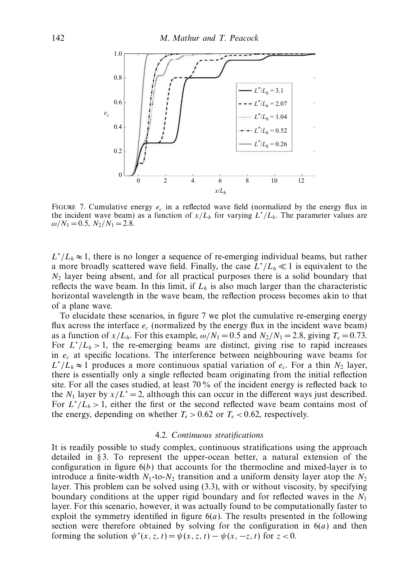

FIGURE 7. Cumulative energy  $e_c$  in a reflected wave field (normalized by the energy flux in the incident wave beam) as a function of  $x/L_h$  for varying  $L^*/L_h$ . The parameter values are  $\omega/N_1 = 0.5$ ,  $N_2/N_1 = 2.8$ .

 $L^*/L_h \approx 1$ , there is no longer a sequence of re-emerging individual beams, but rather a more broadly scattered wave field. Finally, the case  $L^*/L_h \ll 1$  is equivalent to the  $N_2$  layer being absent, and for all practical purposes there is a solid boundary that reflects the wave beam. In this limit, if  $L<sub>h</sub>$  is also much larger than the characteristic horizontal wavelength in the wave beam, the reflection process becomes akin to that of a plane wave.

To elucidate these scenarios, in figure 7 we plot the cumulative re-emerging energy flux across the interface  $e_c$  (normalized by the energy flux in the incident wave beam) as a function of  $x/L_h$ . For this example,  $\omega/N_1 = 0.5$  and  $N_2/N_1 = 2.8$ , giving  $T_e = 0.73$ . For  $L^*/L_h > 1$ , the re-emerging beams are distinct, giving rise to rapid increases in  $e<sub>c</sub>$  at specific locations. The interference between neighbouring wave beams for  $L^*/L_h \approx 1$  produces a more continuous spatial variation of  $e_c$ . For a thin  $N_2$  layer, there is essentially only a single reflected beam originating from the initial reflection site. For all the cases studied, at least 70 % of the incident energy is reflected back to the  $N_1$  layer by  $x/L^* = 2$ , although this can occur in the different ways just described. For  $L^*/L_h > 1$ , either the first or the second reflected wave beam contains most of the energy, depending on whether  $T_e > 0.62$  or  $T_e < 0.62$ , respectively.

## 4.2. Continuous stratifications

It is readily possible to study complex, continuous stratifications using the approach detailed in § 3. To represent the upper-ocean better, a natural extension of the configuration in figure  $6(b)$  that accounts for the thermocline and mixed-layer is to introduce a finite-width  $N_1$ -to- $N_2$  transition and a uniform density layer atop the  $N_2$ layer. This problem can be solved using (3.3), with or without viscosity, by specifying boundary conditions at the upper rigid boundary and for reflected waves in the  $N_1$ layer. For this scenario, however, it was actually found to be computationally faster to exploit the symmetry identified in figure  $6(a)$ . The results presented in the following section were therefore obtained by solving for the configuration in  $6(a)$  and then forming the solution  $\psi^*(x, z, t) = \psi(x, z, t) - \psi(x, -z, t)$  for  $z < 0$ .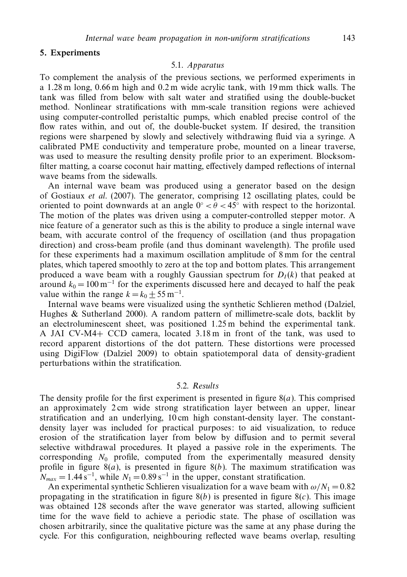## 5. Experiments

## 5.1. Apparatus

To complement the analysis of the previous sections, we performed experiments in a 1.28 m long, 0.66 m high and 0.2 m wide acrylic tank, with 19 mm thick walls. The tank was filled from below with salt water and stratified using the double-bucket method. Nonlinear stratifications with mm-scale transition regions were achieved using computer-controlled peristaltic pumps, which enabled precise control of the flow rates within, and out of, the double-bucket system. If desired, the transition regions were sharpened by slowly and selectively withdrawing fluid via a syringe. A calibrated PME conductivity and temperature probe, mounted on a linear traverse, was used to measure the resulting density profile prior to an experiment. Blocksomfilter matting, a coarse coconut hair matting, effectively damped reflections of internal wave beams from the sidewalls.

An internal wave beam was produced using a generator based on the design of Gostiaux et al. (2007). The generator, comprising 12 oscillating plates, could be oriented to point downwards at an angle  $0° < \theta < 45°$  with respect to the horizontal. The motion of the plates was driven using a computer-controlled stepper motor. A nice feature of a generator such as this is the ability to produce a single internal wave beam, with accurate control of the frequency of oscillation (and thus propagation direction) and cross-beam profile (and thus dominant wavelength). The profile used for these experiments had a maximum oscillation amplitude of 8 mm for the central plates, which tapered smoothly to zero at the top and bottom plates. This arrangement produced a wave beam with a roughly Gaussian spectrum for  $D_l(k)$  that peaked at around  $k_0 = 100 \,\mathrm{m}^{-1}$  for the experiments discussed here and decayed to half the peak value within the range  $k = k_0 \pm 55 \text{ m}^{-1}$ .

Internal wave beams were visualized using the synthetic Schlieren method (Dalziel, Hughes & Sutherland 2000). A random pattern of millimetre-scale dots, backlit by an electroluminescent sheet, was positioned 1.25 m behind the experimental tank. A JAI CV-M4+ CCD camera, located 3.18 m in front of the tank, was used to record apparent distortions of the dot pattern. These distortions were processed using DigiFlow (Dalziel 2009) to obtain spatiotemporal data of density-gradient perturbations within the stratification.

## 5.2. Results

The density profile for the first experiment is presented in figure  $8(a)$ . This comprised an approximately 2 cm wide strong stratification layer between an upper, linear stratification and an underlying, 10 cm high constant-density layer. The constantdensity layer was included for practical purposes: to aid visualization, to reduce erosion of the stratification layer from below by diffusion and to permit several selective withdrawal procedures. It played a passive role in the experiments. The corresponding  $N_0$  profile, computed from the experimentally measured density profile in figure  $8(a)$ , is presented in figure  $8(b)$ . The maximum stratification was  $N_{max} = 1.44 \text{ s}^{-1}$ , while  $N_1 = 0.89 \text{ s}^{-1}$  in the upper, constant stratification.

An experimental synthetic Schlieren visualization for a wave beam with  $\omega/N_1 = 0.82$ propagating in the stratification in figure  $8(b)$  is presented in figure  $8(c)$ . This image was obtained 128 seconds after the wave generator was started, allowing sufficient time for the wave field to achieve a periodic state. The phase of oscillation was chosen arbitrarily, since the qualitative picture was the same at any phase during the cycle. For this configuration, neighbouring reflected wave beams overlap, resulting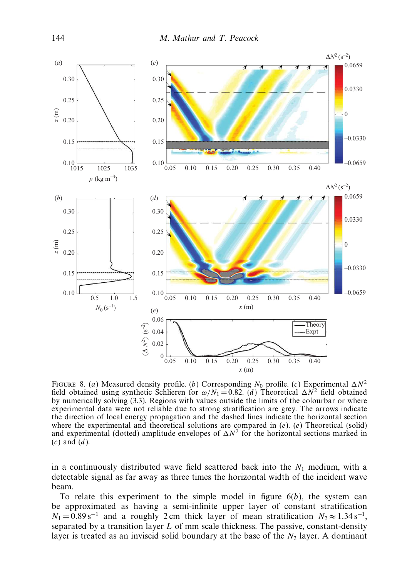

FIGURE 8. (a) Measured density profile. (b) Corresponding  $N_0$  profile. (c) Experimental  $\Delta N^2$ field obtained using synthetic Schlieren for  $\omega/N_1 = 0.82$ . (d) Theoretical  $\Delta N^2$  field obtained by numerically solving (3.3). Regions with values outside the limits of the colourbar or where experimental data were not reliable due to strong stratification are grey. The arrows indicate the direction of local energy propagation and the dashed lines indicate the horizontal section where the experimental and theoretical solutions are compared in  $(e)$ .  $(e)$  Theoretical (solid) and experimental (dotted) amplitude envelopes of  $\Delta N^2$  for the horizontal sections marked in  $(c)$  and  $(d)$ .

in a continuously distributed wave field scattered back into the  $N_1$  medium, with a detectable signal as far away as three times the horizontal width of the incident wave beam.

To relate this experiment to the simple model in figure  $6(b)$ , the system can be approximated as having a semi-infinite upper layer of constant stratification  $N_1 = 0.89 \text{ s}^{-1}$  and a roughly 2 cm thick layer of mean stratification  $N_2 \approx 1.34 \text{ s}^{-1}$ , separated by a transition layer  $L$  of mm scale thickness. The passive, constant-density layer is treated as an inviscid solid boundary at the base of the  $N<sub>2</sub>$  layer. A dominant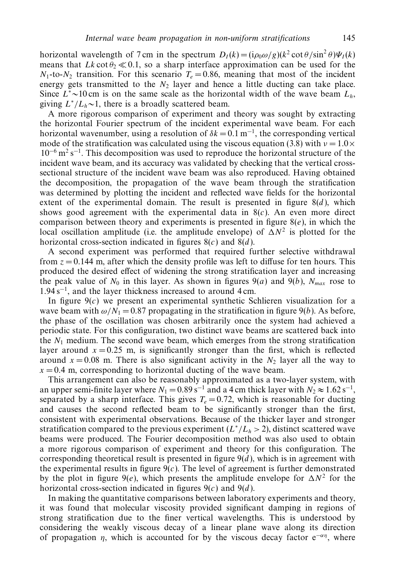horizontal wavelength of 7 cm in the spectrum  $D_I(k) = (i\rho_0 \omega/g)(k^2 \cot \theta/\sin^2 \theta)\Psi_I(k)$ means that Lk cot  $\theta_2 \ll 0.1$ , so a sharp interface approximation can be used for the  $N_1$ -to- $N_2$  transition. For this scenario  $T_e = 0.86$ , meaning that most of the incident energy gets transmitted to the  $N_2$  layer and hence a little ducting can take place. Since  $L^* \sim 10 \text{ cm}$  is on the same scale as the horizontal width of the wave beam  $L_h$ , giving  $L^*/L_h \sim 1$ , there is a broadly scattered beam.

A more rigorous comparison of experiment and theory was sought by extracting the horizontal Fourier spectrum of the incident experimental wave beam. For each horizontal wavenumber, using a resolution of  $\delta k = 0.1 \,\mathrm{m}^{-1}$ , the corresponding vertical mode of the stratification was calculated using the viscous equation (3.8) with  $v = 1.0 \times$  $10^{-6}$  m<sup>2</sup> s<sup>-1</sup>. This decomposition was used to reproduce the horizontal structure of the incident wave beam, and its accuracy was validated by checking that the vertical crosssectional structure of the incident wave beam was also reproduced. Having obtained the decomposition, the propagation of the wave beam through the stratification was determined by plotting the incident and reflected wave fields for the horizontal extent of the experimental domain. The result is presented in figure  $8(d)$ , which shows good agreement with the experimental data in  $8(c)$ . An even more direct comparison between theory and experiments is presented in figure  $8(e)$ , in which the local oscillation amplitude (i.e. the amplitude envelope) of  $\Delta N^2$  is plotted for the horizontal cross-section indicated in figures  $8(c)$  and  $8(d)$ .

A second experiment was performed that required further selective withdrawal from  $z = 0.144$  m, after which the density profile was left to diffuse for ten hours. This produced the desired effect of widening the strong stratification layer and increasing the peak value of  $N_0$  in this layer. As shown in figures  $9(a)$  and  $9(b)$ ,  $N_{max}$  rose to 1.94 s−<sup>1</sup> , and the layer thickness increased to around 4 cm.

In figure  $9(c)$  we present an experimental synthetic Schlieren visualization for a wave beam with  $\omega/N_1 = 0.87$  propagating in the stratification in figure 9(b). As before, the phase of the oscillation was chosen arbitrarily once the system had achieved a periodic state. For this configuration, two distinct wave beams are scattered back into the  $N_1$  medium. The second wave beam, which emerges from the strong stratification layer around  $x = 0.25$  m, is significantly stronger than the first, which is reflected around  $x = 0.08$  m. There is also significant activity in the  $N_2$  layer all the way to  $x = 0.4$  m, corresponding to horizontal ducting of the wave beam.

This arrangement can also be reasonably approximated as a two-layer system, with an upper semi-finite layer where  $N_1 = 0.89 \text{ s}^{-1}$  and a 4 cm thick layer with  $N_2 \approx 1.62 \text{ s}^{-1}$ , separated by a sharp interface. This gives  $T_e = 0.72$ , which is reasonable for ducting and causes the second reflected beam to be significantly stronger than the first, consistent with experimental observations. Because of the thicker layer and stronger stratification compared to the previous experiment ( $L^*/L_h > 2$ ), distinct scattered wave beams were produced. The Fourier decomposition method was also used to obtain a more rigorous comparison of experiment and theory for this configuration. The corresponding theoretical result is presented in figure  $9(d)$ , which is in agreement with the experimental results in figure  $9(c)$ . The level of agreement is further demonstrated by the plot in figure  $9(e)$ , which presents the amplitude envelope for  $\Delta N^2$  for the horizontal cross-section indicated in figures  $9(c)$  and  $9(d)$ .

In making the quantitative comparisons between laboratory experiments and theory, it was found that molecular viscosity provided significant damping in regions of strong stratification due to the finer vertical wavelengths. This is understood by considering the weakly viscous decay of a linear plane wave along its direction of propagation  $\eta$ , which is accounted for by the viscous decay factor e<sup> $-\alpha\eta$ </sup>, where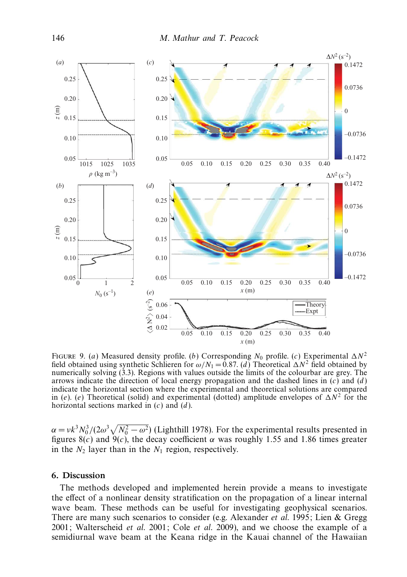

FIGURE 9. (a) Measured density profile. (b) Corresponding  $N_0$  profile. (c) Experimental  $\Delta N^2$ field obtained using synthetic Schlieren for  $\omega/N_1 = 0.87$ . (d) Theoretical  $\Delta N^2$  field obtained by numerically solving (3.3). Regions with values outside the limits of the colourbar are grey. The arrows indicate the direction of local energy propagation and the dashed lines in  $(c)$  and  $(d)$ indicate the horizontal section where the experimental and theoretical solutions are compared in (e). (e) Theoretical (solid) and experimental (dotted) amplitude envelopes of  $\Delta N^2$  for the horizontal sections marked in  $(c)$  and  $(d)$ .

 $\alpha = v k^3 N_0^3/(2\omega^3 \sqrt{N_0^2 - \omega^2})$  (Lighthill 1978). For the experimental results presented in figures 8(c) and 9(c), the decay coefficient  $\alpha$  was roughly 1.55 and 1.86 times greater in the  $N_2$  layer than in the  $N_1$  region, respectively.

### 6. Discussion

The methods developed and implemented herein provide a means to investigate the effect of a nonlinear density stratification on the propagation of a linear internal wave beam. These methods can be useful for investigating geophysical scenarios. There are many such scenarios to consider (e.g. Alexander *et al.* 1995; Lien & Gregg 2001; Walterscheid et al. 2001; Cole et al. 2009), and we choose the example of a semidiurnal wave beam at the Keana ridge in the Kauai channel of the Hawaiian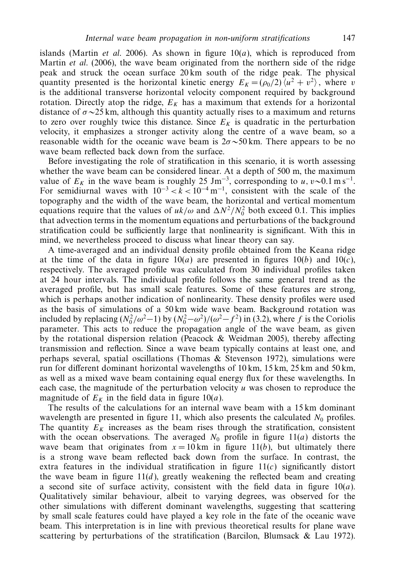islands (Martin *et al.* 2006). As shown in figure  $10(a)$ , which is reproduced from Martin *et al.* (2006), the wave beam originated from the northern side of the ridge peak and struck the ocean surface 20 km south of the ridge peak. The physical quantity presented is the horizontal kinetic energy  $E_K = (\rho_0/2) \langle u^2 + v^2 \rangle$ , where v is the additional transverse horizontal velocity component required by background rotation. Directly atop the ridge,  $E_K$  has a maximum that extends for a horizontal distance of  $\sigma \sim 25$  km, although this quantity actually rises to a maximum and returns to zero over roughly twice this distance. Since  $E_K$  is quadratic in the perturbation velocity, it emphasizes a stronger activity along the centre of a wave beam, so a reasonable width for the oceanic wave beam is  $2\sigma \sim 50$  km. There appears to be no wave beam reflected back down from the surface.

Before investigating the role of stratification in this scenario, it is worth assessing whether the wave beam can be considered linear. At a depth of 500 m, the maximum value of  $E_K$  in the wave beam is roughly 25 Jm<sup>-3</sup>, corresponding to u, v~0.1 m s<sup>-1</sup>. For semidiurnal waves with  $10^{-3} < k < 10^{-4}$  m<sup>-1</sup>, consistent with the scale of the topography and the width of the wave beam, the horizontal and vertical momentum equations require that the values of  $uk/\omega$  and  $\Delta N^2/N_0^2$  both exceed 0.1. This implies that advection terms in the momentum equations and perturbations of the background stratification could be sufficiently large that nonlinearity is significant. With this in mind, we nevertheless proceed to discuss what linear theory can say.

A time-averaged and an individual density profile obtained from the Keana ridge at the time of the data in figure  $10(a)$  are presented in figures  $10(b)$  and  $10(c)$ , respectively. The averaged profile was calculated from 30 individual profiles taken at 24 hour intervals. The individual profile follows the same general trend as the averaged profile, but has small scale features. Some of these features are strong, which is perhaps another indication of nonlinearity. These density profiles were used as the basis of simulations of a 50 km wide wave beam. Background rotation was included by replacing  $(N_0^2/\omega^2-1)$  by  $(N_0^2-\omega^2)/(\omega^2-f^2)$  in (3.2), where f is the Coriolis parameter. This acts to reduce the propagation angle of the wave beam, as given by the rotational dispersion relation (Peacock & Weidman 2005), thereby affecting transmission and reflection. Since a wave beam typically contains at least one, and perhaps several, spatial oscillations (Thomas & Stevenson 1972), simulations were run for different dominant horizontal wavelengths of 10 km, 15 km, 25 km and 50 km, as well as a mixed wave beam containing equal energy flux for these wavelengths. In each case, the magnitude of the perturbation velocity  $u$  was chosen to reproduce the magnitude of  $E_K$  in the field data in figure 10(*a*).

The results of the calculations for an internal wave beam with a 15 km dominant wavelength are presented in figure 11, which also presents the calculated  $N_0$  profiles. The quantity  $E<sub>K</sub>$  increases as the beam rises through the stratification, consistent with the ocean observations. The averaged  $N_0$  profile in figure 11(*a*) distorts the wave beam that originates from  $x = 10 \text{ km}$  in figure 11(b), but ultimately there is a strong wave beam reflected back down from the surface. In contrast, the extra features in the individual stratification in figure  $11(c)$  significantly distort the wave beam in figure  $11(d)$ , greatly weakening the reflected beam and creating a second site of surface activity, consistent with the field data in figure  $10(a)$ . Qualitatively similar behaviour, albeit to varying degrees, was observed for the other simulations with different dominant wavelengths, suggesting that scattering by small scale features could have played a key role in the fate of the oceanic wave beam. This interpretation is in line with previous theoretical results for plane wave scattering by perturbations of the stratification (Barcilon, Blumsack & Lau 1972).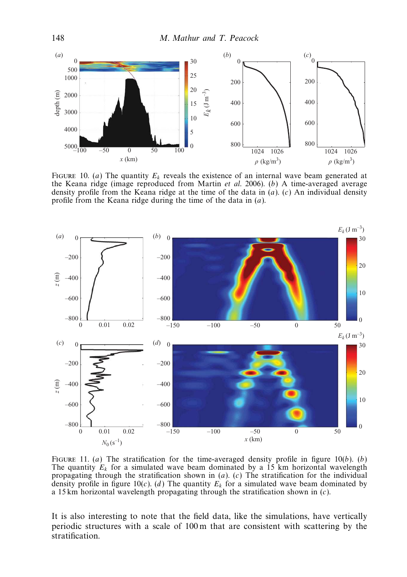

FIGURE 10. (a) The quantity  $E_k$  reveals the existence of an internal wave beam generated at the Keana ridge (image reproduced from Martin et al. 2006). (b) A time-averaged average density profile from the Keana ridge at the time of the data in  $(a)$ .  $(c)$  An individual density profile from the Keana ridge during the time of the data in (a).



FIGURE 11. (a) The stratification for the time-averaged density profile in figure 10(b). (b) The quantity  $E_k$  for a simulated wave beam dominated by a 15 km horizontal wavelength propagating through the stratification shown in  $(a)$ . (c) The stratification for the individual density profile in figure 10(c). (d) The quantity  $E<sub>k</sub>$  for a simulated wave beam dominated by a 15 km horizontal wavelength propagating through the stratification shown in  $(c)$ .

It is also interesting to note that the field data, like the simulations, have vertically periodic structures with a scale of 100 m that are consistent with scattering by the stratification.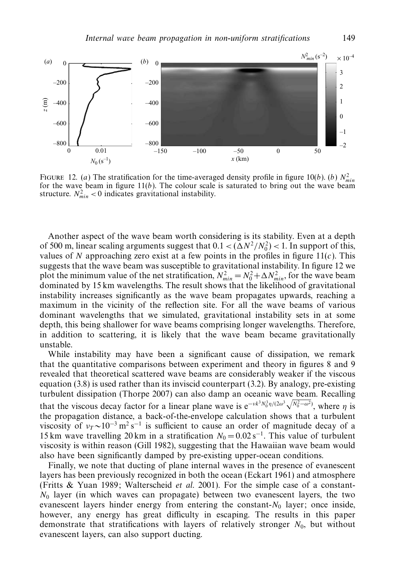

FIGURE 12. (a) The stratification for the time-averaged density profile in figure 10(b). (b)  $N_{min}^2$ for the wave beam in figure  $11(b)$ . The colour scale is saturated to bring out the wave beam structure.  $N_{min}^2 < 0$  indicates gravitational instability.

Another aspect of the wave beam worth considering is its stability. Even at a depth of 500 m, linear scaling arguments suggest that  $0.1 < (\Delta N^2/N_0^2) < 1$ . In support of this, values of N approaching zero exist at a few points in the profiles in figure  $11(c)$ . This suggests that the wave beam was susceptible to gravitational instability. In figure 12 we plot the minimum value of the net stratification,  $N_{min}^2 = N_0^2 + \Delta N_{min}^2$ , for the wave beam dominated by 15 km wavelengths. The result shows that the likelihood of gravitational instability increases significantly as the wave beam propagates upwards, reaching a maximum in the vicinity of the reflection site. For all the wave beams of various dominant wavelengths that we simulated, gravitational instability sets in at some depth, this being shallower for wave beams comprising longer wavelengths. Therefore, in addition to scattering, it is likely that the wave beam became gravitationally unstable.

While instability may have been a significant cause of dissipation, we remark that the quantitative comparisons between experiment and theory in figures 8 and 9 revealed that theoretical scattered wave beams are considerably weaker if the viscous equation  $(3.8)$  is used rather than its inviscid counterpart  $(3.2)$ . By analogy, pre-existing turbulent dissipation (Thorpe 2007) can also damp an oceanic wave beam. Recalling that the viscous decay factor for a linear plane wave is  $e^{-\nu k^3 N_0^3 \eta/(2\omega^3 \sqrt{N_0^2 - \omega^2})}$ , where  $\eta$  is the propagation distance, a back-of-the-envelope calculation shows that a turbulent viscosity of  $v_T \sim 10^{-3}$  m<sup>2</sup> s<sup>-1</sup> is sufficient to cause an order of magnitude decay of a 15 km wave travelling 20 km in a stratification  $N_0 = 0.02 \text{ s}^{-1}$ . This value of turbulent viscosity is within reason (Gill 1982), suggesting that the Hawaiian wave beam would also have been significantly damped by pre-existing upper-ocean conditions.

Finally, we note that ducting of plane internal waves in the presence of evanescent layers has been previously recognized in both the ocean (Eckart 1961) and atmosphere (Fritts & Yuan 1989; Walterscheid et al. 2001). For the simple case of a constant- $N_0$  layer (in which waves can propagate) between two evanescent layers, the two evanescent layers hinder energy from entering the constant- $N_0$  layer; once inside, however, any energy has great difficulty in escaping. The results in this paper demonstrate that stratifications with layers of relatively stronger  $N_0$ , but without evanescent layers, can also support ducting.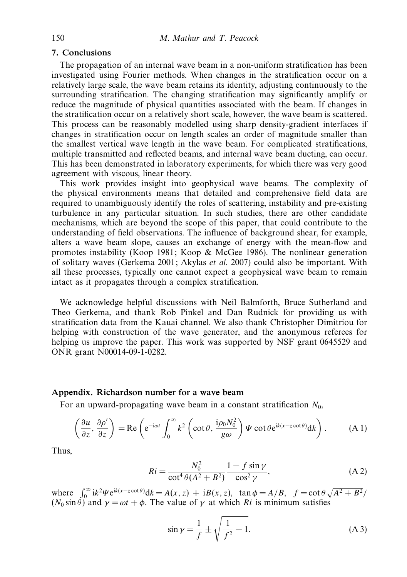## 7. Conclusions

The propagation of an internal wave beam in a non-uniform stratification has been investigated using Fourier methods. When changes in the stratification occur on a relatively large scale, the wave beam retains its identity, adjusting continuously to the surrounding stratification. The changing stratification may significantly amplify or reduce the magnitude of physical quantities associated with the beam. If changes in the stratification occur on a relatively short scale, however, the wave beam is scattered. This process can be reasonably modelled using sharp density-gradient interfaces if changes in stratification occur on length scales an order of magnitude smaller than the smallest vertical wave length in the wave beam. For complicated stratifications, multiple transmitted and reflected beams, and internal wave beam ducting, can occur. This has been demonstrated in laboratory experiments, for which there was very good agreement with viscous, linear theory.

This work provides insight into geophysical wave beams. The complexity of the physical environments means that detailed and comprehensive field data are required to unambiguously identify the roles of scattering, instability and pre-existing turbulence in any particular situation. In such studies, there are other candidate mechanisms, which are beyond the scope of this paper, that could contribute to the understanding of field observations. The influence of background shear, for example, alters a wave beam slope, causes an exchange of energy with the mean-flow and promotes instability (Koop 1981; Koop  $\&$  McGee 1986). The nonlinear generation of solitary waves (Gerkema 2001; Akylas et al. 2007) could also be important. With all these processes, typically one cannot expect a geophysical wave beam to remain intact as it propagates through a complex stratification.

We acknowledge helpful discussions with Neil Balmforth, Bruce Sutherland and Theo Gerkema, and thank Rob Pinkel and Dan Rudnick for providing us with stratification data from the Kauai channel. We also thank Christopher Dimitriou for helping with construction of the wave generator, and the anonymous referees for helping us improve the paper. This work was supported by NSF grant 0645529 and ONR grant N00014-09-1-0282.

### Appendix. Richardson number for a wave beam

For an upward-propagating wave beam in a constant stratification  $N_0$ ,

$$
\left(\frac{\partial u}{\partial z},\frac{\partial \rho'}{\partial z}\right) = \text{Re}\left(e^{-i\omega t} \int_0^\infty k^2 \left(\cot\theta, \frac{i\rho_0 N_0^2}{g\omega}\right) \Psi \cot\theta e^{ik(x-z\cot\theta)} dk\right). \tag{A.1}
$$

Thus,

$$
Ri = \frac{N_0^2}{\cot^4 \theta (A^2 + B^2)} \frac{1 - f \sin \gamma}{\cos^2 \gamma},
$$
 (A 2)

where  $\int_0^\infty ik^2 \Psi e^{ik(x-z \cot \theta)} dk = A(x, z) + iB(x, z)$ ,  $\tan \phi = A/B$ ,  $f = \cot \theta \sqrt{A^2 + B^2}/A$  $(N_0 \sin \theta)$  and  $\gamma = \omega t + \phi$ . The value of  $\gamma$  at which Ri is minimum satisfies

$$
\sin \gamma = \frac{1}{f} \pm \sqrt{\frac{1}{f^2} - 1}.
$$
 (A 3)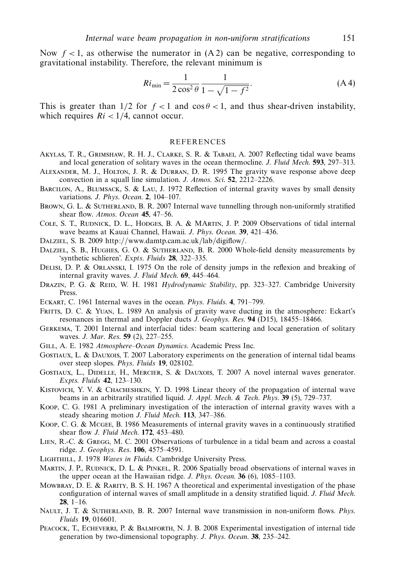Now  $f < 1$ , as otherwise the numerator in  $(A 2)$  can be negative, corresponding to gravitational instability. Therefore, the relevant minimum is

$$
Ri_{\min} = \frac{1}{2\cos^2\theta} \frac{1}{1 - \sqrt{1 - f^2}}.
$$
 (A 4)

This is greater than  $1/2$  for  $f < 1$  and  $\cos \theta < 1$ , and thus shear-driven instability, which requires  $Ri < 1/4$ , cannot occur.

#### **REFERENCES**

- Akylas, T. R., Grimshaw, R. H. J., Clarke, S. R. & Tabaei, A. 2007 Reflecting tidal wave beams and local generation of solitary waves in the ocean thermocline. J. Fluid Mech. 593, 297-313.
- Alexander, M. J., Holton, J. R. & Durran, D. R. 1995 The gravity wave response above deep convection in a squall line simulation. J. Atmos. Sci. 52, 2212–2226.
- Barcilon, A., Blumsack, S. & Lau, J. 1972 Reflection of internal gravity waves by small density variations. J. Phys. Ocean. 2, 104–107.
- BROWN, G. L. & SUTHERLAND, B. R. 2007 Internal wave tunnelling through non-uniformly stratified shear flow. Atmos. Ocean 45, 47-56.
- Cole, S. T., Rudnick, D. L., Hodges, B. A. & MArtin, J. P. 2009 Observations of tidal internal wave beams at Kauai Channel, Hawaii. J. Phys. Ocean. 39, 421–436.
- Dalziel, S. B. 2009 http://www.damtp.cam.ac.uk/lab/digiflow/.
- DALZIEL, S. B., HUGHES, G. O. & SUTHERLAND, B. R. 2000 Whole-field density measurements by 'synthetic schlieren'. Expts. Fluids 28, 322–335.
- Delisi, D. P. & Orlanski, I. 1975 On the role of density jumps in the reflexion and breaking of internal gravity waves. J. Fluid Mech. 69, 445–464.
- DRAZIN, P. G. & REID, W. H. 1981 Hydrodynamic Stability, pp. 323-327. Cambridge University Press.
- Eckart, C. 1961 Internal waves in the ocean. Phys. Fluids. 4, 791–799.
- FRITTS, D. C. & YUAN, L. 1989 An analysis of gravity wave ducting in the atmosphere: Eckart's resonances in thermal and Doppler ducts J. Geophys. Res. 94 (D15), 18455–18466.
- Gerkema, T. 2001 Internal and interfacial tides: beam scattering and local generation of solitary waves. J. Mar. Res. 59 (2), 227–255.
- GILL, A. E. 1982 Atmosphere–Ocean Dynamics. Academic Press Inc.
- Gostiaux, L. & Dauxois, T. 2007 Laboratory experiments on the generation of internal tidal beams over steep slopes. Phys. Fluids 19, 028102.
- Gostiaux, L., Didelle, H., Mercier, S. & Dauxois, T. 2007 A novel internal waves generator. Expts. Fluids 42, 123–130.
- Kistovich, Y. V. & Chacheshkin, Y. D. 1998 Linear theory of the propagation of internal wave beams in an arbitrarily stratified liquid. J. Appl. Mech. & Tech. Phys. 39 (5), 729–737.
- Koop, C. G. 1981 A preliminary investigation of the interaction of internal gravity waves with a steady shearing motion J. Fluid Mech. 113, 347–386.
- Koop, C. G. & Mcgee, B. 1986 Measurements of internal gravity waves in a continuously stratified shear flow J. Fluid Mech. 172, 453–480.
- Lien, R.-C. & Gregg, M. C. 2001 Observations of turbulence in a tidal beam and across a coastal ridge. J. Geophys. Res. 106, 4575–4591.
- LIGHTHILL, J. 1978 Waves in Fluids. Cambridge University Press.
- MARTIN, J. P., RUDNICK, D. L. & PINKEL, R. 2006 Spatially broad observations of internal waves in the upper ocean at the Hawaiian ridge. J. Phys. Ocean. 36 (6), 1085–1103.
- MOWBRAY, D. E. & RARITY, B. S. H. 1967 A theoretical and experimental investigation of the phase configuration of internal waves of small amplitude in a density stratified liquid. J. Fluid Mech.  $28, 1-16.$
- NAULT, J. T. & SUTHERLAND, B. R. 2007 Internal wave transmission in non-uniform flows. Phys. Fluids 19, 016601.
- Peacock, T., Echeverri, P. & Balmforth, N. J. B. 2008 Experimental investigation of internal tide generation by two-dimensional topography. J. Phys. Ocean. 38, 235–242.